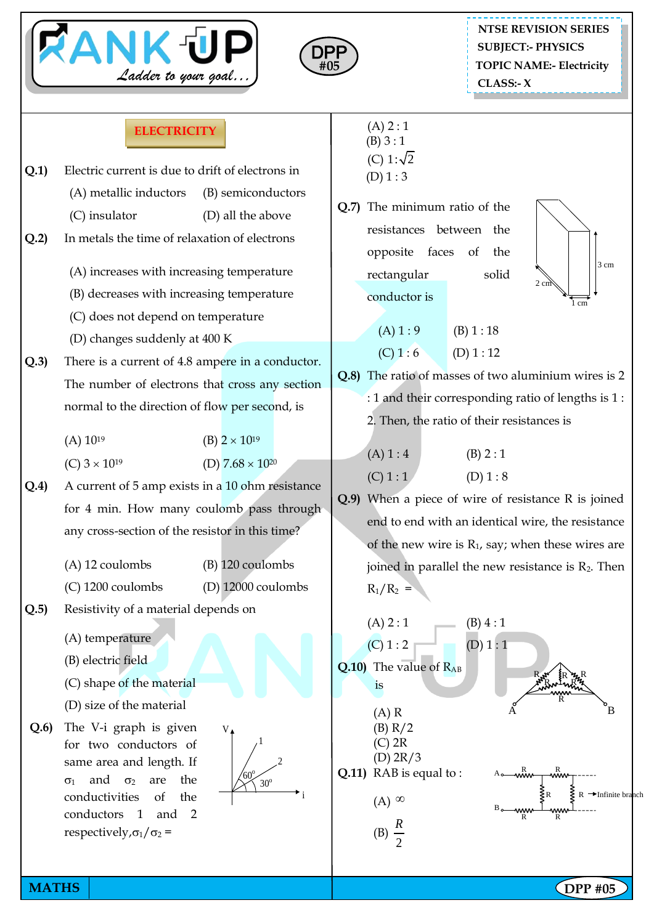



 $(A) 2 : 1$ 

## **ELECTRICITY**

|      |                                                                       | (B) 3:1                                                                                                                         |  |  |
|------|-----------------------------------------------------------------------|---------------------------------------------------------------------------------------------------------------------------------|--|--|
| Q.1  | Electric current is due to drift of electrons in                      | (C) 1: $\sqrt{2}$<br>(D) 1:3                                                                                                    |  |  |
|      | (A) metallic inductors<br>(B) semiconductors                          |                                                                                                                                 |  |  |
|      | (C) insulator<br>(D) all the above                                    | Q.7) The minimum ratio of the                                                                                                   |  |  |
| Q.2  | In metals the time of relaxation of electrons                         | resistances between the<br>opposite faces<br>the<br><sub>of</sub><br>3 cm                                                       |  |  |
|      |                                                                       |                                                                                                                                 |  |  |
|      | (A) increases with increasing temperature                             | rectangular<br>solid<br>2 cm                                                                                                    |  |  |
|      | (B) decreases with increasing temperature                             | conductor is<br>1 cm                                                                                                            |  |  |
|      | (C) does not depend on temperature                                    |                                                                                                                                 |  |  |
|      | (D) changes suddenly at 400 K                                         | (A) 1:9<br>(B) 1: 18                                                                                                            |  |  |
| Q.3) | There is a current of 4.8 ampere in a conductor.                      | (C) 1:6<br>(D) 1: 12                                                                                                            |  |  |
|      | The number of electrons that cross any section                        | Q.8) The ratio of masses of two aluminium wires is 2                                                                            |  |  |
|      | normal to the direction of flow per second, is                        | : 1 and their corresponding ratio of lengths is 1:                                                                              |  |  |
|      |                                                                       | 2. Then, the ratio of their resistances is                                                                                      |  |  |
|      | $(A) 10^{19}$<br>(B) $2 \times 10^{19}$                               |                                                                                                                                 |  |  |
|      | (C) $3 \times 10^{19}$<br>(D) $7.68 \times 10^{20}$                   | (A) 1:4<br>(B) 2:1                                                                                                              |  |  |
| Q.4) | A current of 5 amp exists in a 10 ohm resistance                      | (C) 1:1<br>(D) 1: 8<br>Q.9) When a piece of wire of resistance R is joined<br>end to end with an identical wire, the resistance |  |  |
|      | for 4 min. How many coulomb pass through                              |                                                                                                                                 |  |  |
|      | any cross-section of the resistor in this time?                       |                                                                                                                                 |  |  |
|      |                                                                       | of the new wire is $R_1$ , say; when these wires are                                                                            |  |  |
|      | (A) 12 coulombs<br>$(B)$ 120 coulombs                                 | joined in parallel the new resistance is $R_2$ . Then                                                                           |  |  |
|      | (C) 1200 coulombs<br>$(D)$ 12000 coulombs                             | $R_1/R_2 =$                                                                                                                     |  |  |
| Q.5  | Resistivity of a material depends on                                  | (A) 2:1<br>(B) 4:1                                                                                                              |  |  |
|      | (A) temperature                                                       | (C) 1:2<br>(D) 1:1                                                                                                              |  |  |
|      | (B) electric field                                                    | Q.10) The value of $R_{AB}$                                                                                                     |  |  |
|      | (C) shape of the material                                             | is                                                                                                                              |  |  |
|      | (D) size of the material                                              | В<br>А                                                                                                                          |  |  |
| Q.6  | The V-i graph is given<br>$V_{\bullet}$                               | $(A)$ R<br>(B) R/2                                                                                                              |  |  |
|      | for two conductors of                                                 | $(C)$ 2R                                                                                                                        |  |  |
|      | same area and length. If                                              | (D) 2R/3<br>Q.11) RAB is equal to:<br>™<br>ww<br>−wŵw                                                                           |  |  |
|      | '60'<br>and<br>the<br>$\sigma_2$<br>are<br>$\sigma_1$<br>$30^{\circ}$ | $\rightarrow$ Infinite bi                                                                                                       |  |  |
|      | conductivities<br>of<br>the<br>conductors 1<br>and<br>$\overline{2}$  | $(A)$ $\infty$                                                                                                                  |  |  |
|      | respectively, $\sigma_1/\sigma_2$ =                                   | (B) $\frac{R}{2}$                                                                                                               |  |  |
|      |                                                                       |                                                                                                                                 |  |  |

**MATHS NATHS Example 2018 19:00 DPP #05** 

anch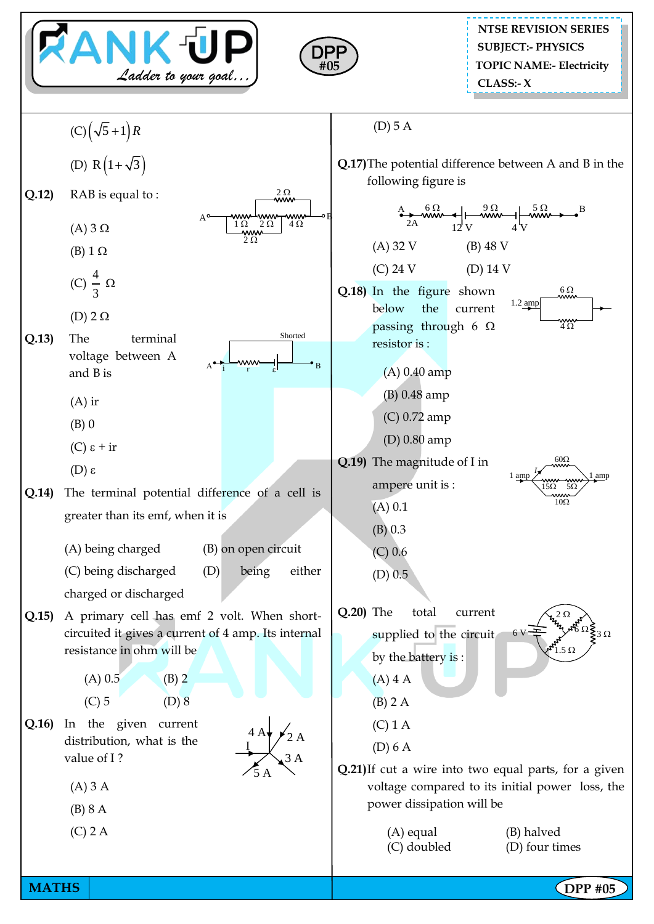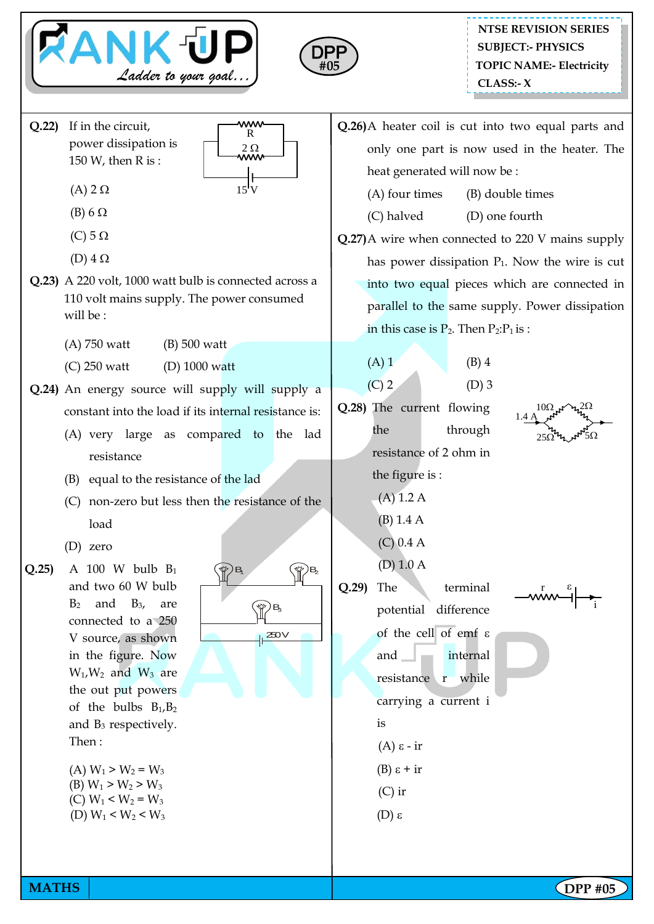



## **NTSE REVISION SERIES TOPIC NAME:- Electricity CLASS:- X SUBJECT:- PHYSICS**

**Q.22)** If in the circuit, power dissipation is 150 W, then R is :



- (A)  $2 \Omega$ (B)  $6 \Omega$
- (C)  $5 \Omega$
- (D)  $4 \Omega$
- **Q.23)** A 220 volt, 1000 watt bulb is connected across a 110 volt mains supply. The power consumed will be :
	- (A) 750 watt (B) 500 watt
	- (C) 250 watt (D) 1000 watt
- **Q.24)** An energy source will supply will supply a constant into the load if its internal resistance is:
	- (A) very large as compared to the lad resistance
	- (B) equal to the resistance of the lad
	- (C) non-zero but less then the resistance of the load
	- (D) zero
- **Q.25)** A 100 W bulb B<sup>1</sup> and two 60 W bulb  $B_2$  and  $B_3$ , are connected to a 250 V source, as shown in the figure. Now  $W_1$ ,  $W_2$  and  $W_3$  are the out put powers of the bulbs  $B_1$ ,  $B_2$ and  $B_3$  respectively. Then :
	- (A)  $W_1 > W_2 = W_3$ (B)  $W_1 > W_2 > W_3$ (C)  $W_1 < W_2 = W_3$ (D)  $W_1 < W_2 < W_3$

 $\mathbb{R}$   $\mathbb{R}$  $\mathbb{P}^{\mathsf{B}}$  $\frac{250}{1}$ 

- **Q.26)**A heater coil is cut into two equal parts and only one part is now used in the heater. The heat generated will now be :
	- (A) four times (B) double times
	- (C) halved (D) one fourth
- **Q.27)**A wire when connected to 220 V mains supply has power dissipation  $P_1$ . Now the wire is cut into two equal pieces which are connected in parallel to the same supply. Power dissipation in this case is  $P_2$ . Then  $P_2$ : $P_1$  is :

 $(A) 1$  (B) 4  $(C)$  2  $(D)$  3

**Q.28)** The current flowing the through resistance of 2 ohm in the figure is :



r

 $\epsilon$ 

i

- (A) 1.2 A (B) 1.4 A
- (C) 0.4 A

$$
(D) 1.0 A
$$

**Q.29)** The terminal potential difference of the cell of emf  $\varepsilon$ and  $\Box$  internal resistance r while carrying a current i is  $(A)$  ε - ir (B)  $\varepsilon$  + ir

$$
(C) \text{ ir}
$$

(D)  $ε$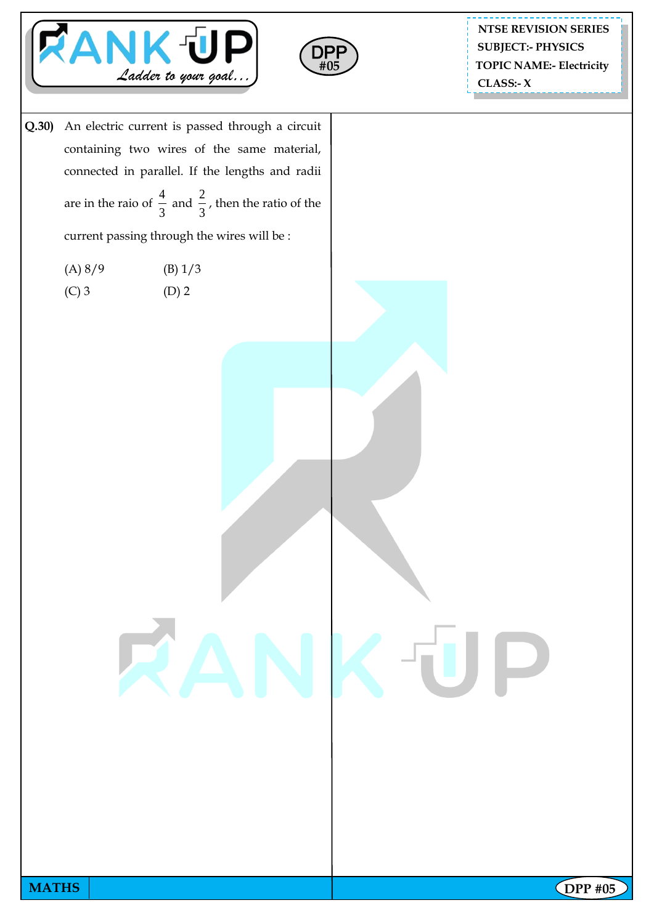



**NTSE REVISION SERIES TOPIC NAME:- Electricity CLASS:- X SUBJECT:- PHYSICS**

**Q.30)** An electric current is passed through a circuit containing two wires of the same material, connected in parallel. If the lengths and radii are in the raio of 4 3 and 2 3 , then the ratio of the

current passing through the wires will be :

| (A) 8/9 | (B) 1/3 |
|---------|---------|
|         |         |

 $(C) 3$  (D) 2